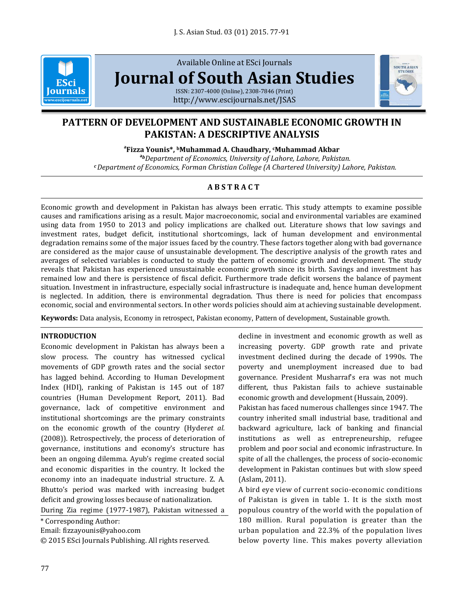

Available Online at ESci Journals **[Journal of South Asian Studies](http://www.escijournals.net/JSAS)**



ISSN: 2307-4000 (Online), 2308-7846 (Print) <http://www.escijournals.net/JSAS>

# **PATTERN OF DEVELOPMENT AND SUSTAINABLE ECONOMIC GROWTH IN PAKISTAN: A DESCRIPTIVE ANALYSIS**

**a Fizza Younis\*, <sup>b</sup>Muhammad A. Chaudhary, cMuhammad Akbar**

**<sup>a</sup>***bDepartment of Economics, University of Lahore, Lahore, Pakistan. <sup>c</sup>Department of Economics, Forman Christian College (A Chartered University) Lahore, Pakistan.*

# **A B S T R A C T**

Economic growth and development in Pakistan has always been erratic. This study attempts to examine possible causes and ramifications arising as a result. Major macroeconomic, social and environmental variables are examined using data from 1950 to 2013 and policy implications are chalked out. Literature shows that low savings and investment rates, budget deficit, institutional shortcomings, lack of human development and environmental degradation remains some of the major issues faced by the country. These factors together along with bad governance are considered as the major cause of unsustainable development. The descriptive analysis of the growth rates and averages of selected variables is conducted to study the pattern of economic growth and development. The study reveals that Pakistan has experienced unsustainable economic growth since its birth. Savings and investment has remained low and there is persistence of fiscal deficit. Furthermore trade deficit worsens the balance of payment situation. Investment in infrastructure, especially social infrastructure is inadequate and, hence human development is neglected. In addition, there is environmental degradation. Thus there is need for policies that encompass economic, social and environmental sectors. In other words policies should aim at achieving sustainable development.

**Keywords:** Data analysis, Economy in retrospect, Pakistan economy, Pattern of development, Sustainable growth.

## **INTRODUCTION**

Economic development in Pakistan has always been a slow process. The country has witnessed cyclical movements of GDP growth rates and the social sector has lagged behind. According to Human Development Index (HDI), ranking of Pakistan is 145 out of 187 countries (Human Development Report, 2011). Bad governance, lack of competitive environment and institutional shortcomings are the primary constraints on the economic growth of the country (Hyder*et al.* (2008)). Retrospectively, the process of deterioration of governance, institutions and economy's structure has been an ongoing dilemma. Ayub's regime created social and economic disparities in the country. It locked the economy into an inadequate industrial structure. Z. A. Bhutto's period was marked with increasing budget deficit and growing losses because of nationalization.

During Zia regime (1977-1987), Pakistan witnessed a

\* Corresponding Author:

Email: fizzayounis@yahoo.com

© 2015 ESci Journals Publishing. All rights reserved.

decline in investment and economic growth as well as increasing poverty. GDP growth rate and private investment declined during the decade of 1990s. The poverty and unemployment increased due to bad governance. President Musharraf's era was not much different, thus Pakistan fails to achieve sustainable economic growth and development (Hussain, 2009).

Pakistan has faced numerous challenges since 1947. The country inherited small industrial base, traditional and backward agriculture, lack of banking and financial institutions as well as entrepreneurship, refugee problem and poor social and economic infrastructure. In spite of all the challenges, the process of socio-economic development in Pakistan continues but with slow speed (Aslam, 2011).

A bird eye view of current socio-economic conditions of Pakistan is given in table 1. It is the sixth most populous country of the world with the population of 180 million. Rural population is greater than the urban population and 22.3% of the population lives below poverty line. This makes poverty alleviation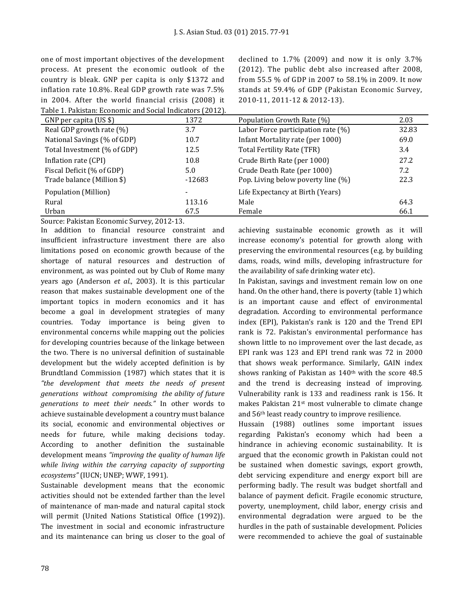one of most important objectives of the development process. At present the economic outlook of the country is bleak. GNP per capita is only \$1372 and inflation rate 10.8%. Real GDP growth rate was 7.5% in 2004. After the world financial crisis (2008) it Table 1. Pakistan: Economic and Social Indicators (2012). declined to 1.7% (2009) and now it is only 3.7% (2012). The public debt also increased after 2008, from 55.5 % of GDP in 2007 to 58.1% in 2009. It now stands at 59.4% of GDP (Pakistan Economic Survey, 2010-11, 2011-12 & 2012-13).

| GNP per capita (US \$)      | 1372     | Population Growth Rate (%)         | 2.03  |
|-----------------------------|----------|------------------------------------|-------|
| Real GDP growth rate (%)    | 3.7      | Labor Force participation rate (%) | 32.83 |
| National Savings (% of GDP) | 10.7     | Infant Mortality rate (per 1000)   | 69.0  |
| Total Investment (% of GDP) | 12.5     | Total Fertility Rate (TFR)         | 3.4   |
| Inflation rate (CPI)        | 10.8     | Crude Birth Rate (per 1000)        | 27.2  |
| Fiscal Deficit (% of GDP)   | 5.0      | Crude Death Rate (per 1000)        | 7.2   |
| Trade balance (Million \$)  | $-12683$ | Pop. Living below poverty line (%) | 22.3  |
| Population (Million)        |          | Life Expectancy at Birth (Years)   |       |
| Rural                       | 113.16   | Male                               | 64.3  |
| Urban                       | 67.5     | Female                             | 66.1  |
|                             |          |                                    |       |

Source: Pakistan Economic Survey, 2012-13.

In addition to financial resource constraint and insufficient infrastructure investment there are also limitations posed on economic growth because of the shortage of natural resources and destruction of environment, as was pointed out by Club of Rome many years ago (Anderson *et al*., 2003). It is this particular reason that makes sustainable development one of the important topics in modern economics and it has become a goal in development strategies of many countries. Today importance is being given to environmental concerns while mapping out the policies for developing countries because of the linkage between the two. There is no universal definition of sustainable development but the widely accepted definition is by Brundtland Commission (1987) which states that it is *"the development that meets the needs of present generations without compromising the ability of future generations to meet their needs."* In other words to achieve sustainable development a country must balance its social, economic and environmental objectives or needs for future, while making decisions today. According to another definition the sustainable development means *"improving the quality of human life while living within the carrying capacity of supporting ecosystems"* (IUCN; UNEP; WWF, 1991).

Sustainable development means that the economic activities should not be extended farther than the level of maintenance of man-made and natural capital stock will permit (United Nations Statistical Office (1992)). The investment in social and economic infrastructure and its maintenance can bring us closer to the goal of achieving sustainable economic growth as it will increase economy's potential for growth along with preserving the environmental resources (e.g. by building dams, roads, wind mills, developing infrastructure for the availability of safe drinking water etc).

In Pakistan, savings and investment remain low on one hand. On the other hand, there is poverty (table 1) which is an important cause and effect of environmental degradation. According to environmental performance index (EPI), Pakistan's rank is 120 and the Trend EPI rank is 72. Pakistan's environmental performance has shown little to no improvement over the last decade, as EPI rank was 123 and EPI trend rank was 72 in 2000 that shows weak performance. Similarly, GAIN index shows ranking of Pakistan as 140<sup>th</sup> with the score 48.5 and the trend is decreasing instead of improving. Vulnerability rank is 133 and readiness rank is 156. It makes Pakistan 21st most vulnerable to climate change and 56th least ready country to improve resilience.

Hussain (1988) outlines some important issues regarding Pakistan's economy which had been a hindrance in achieving economic sustainability. It is argued that the economic growth in Pakistan could not be sustained when domestic savings, export growth, debt servicing expenditure and energy export bill are performing badly. The result was budget shortfall and balance of payment deficit. Fragile economic structure, poverty, unemployment, child labor, energy crisis and environmental degradation were argued to be the hurdles in the path of sustainable development. Policies were recommended to achieve the goal of sustainable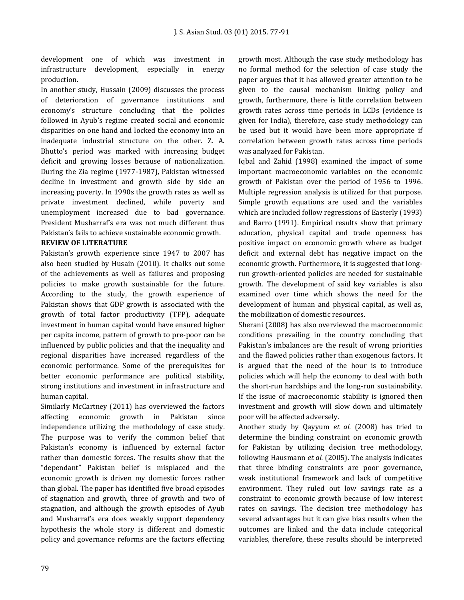development one of which was investment in infrastructure development, especially in energy production.

In another study, Hussain (2009) discusses the process of deterioration of governance institutions and economy's structure concluding that the policies followed in Ayub's regime created social and economic disparities on one hand and locked the economy into an inadequate industrial structure on the other. Z. A. Bhutto's period was marked with increasing budget deficit and growing losses because of nationalization. During the Zia regime (1977-1987), Pakistan witnessed decline in investment and growth side by side an increasing poverty. In 1990s the growth rates as well as private investment declined, while poverty and unemployment increased due to bad governance. President Musharraf's era was not much different thus Pakistan's fails to achieve sustainable economic growth.

# **REVIEW OF LITERATURE**

Pakistan's growth experience since 1947 to 2007 has also been studied by Husain (2010). It chalks out some of the achievements as well as failures and proposing policies to make growth sustainable for the future. According to the study, the growth experience of Pakistan shows that GDP growth is associated with the growth of total factor productivity (TFP), adequate investment in human capital would have ensured higher per capita income, pattern of growth to pre-poor can be influenced by public policies and that the inequality and regional disparities have increased regardless of the economic performance. Some of the prerequisites for better economic performance are political stability, strong institutions and investment in infrastructure and human capital.

Similarly McCartney (2011) has overviewed the factors affecting economic growth in Pakistan since independence utilizing the methodology of case study. The purpose was to verify the common belief that Pakistan's economy is influenced by external factor rather than domestic forces. The results show that the "dependant" Pakistan belief is misplaced and the economic growth is driven my domestic forces rather than global. The paper has identified five broad episodes of stagnation and growth, three of growth and two of stagnation, and although the growth episodes of Ayub and Musharraf's era does weakly support dependency hypothesis the whole story is different and domestic policy and governance reforms are the factors effecting growth most. Although the case study methodology has no formal method for the selection of case study the paper argues that it has allowed greater attention to be given to the causal mechanism linking policy and growth, furthermore, there is little correlation between growth rates across time periods in LCDs (evidence is given for India), therefore, case study methodology can be used but it would have been more appropriate if correlation between growth rates across time periods was analyzed for Pakistan.

Iqbal and Zahid (1998) examined the impact of some important macroeconomic variables on the economic growth of Pakistan over the period of 1956 to 1996. Multiple regression analysis is utilized for that purpose. Simple growth equations are used and the variables which are included follow regressions of Easterly (1993) and Barro (1991). Empirical results show that primary education, physical capital and trade openness has positive impact on economic growth where as budget deficit and external debt has negative impact on the economic growth. Furthermore, it is suggested that longrun growth-oriented policies are needed for sustainable growth. The development of said key variables is also examined over time which shows the need for the development of human and physical capital, as well as, the mobilization of domestic resources.

Sherani (2008) has also overviewed the macroeconomic conditions prevailing in the country concluding that Pakistan's imbalances are the result of wrong priorities and the flawed policies rather than exogenous factors. It is argued that the need of the hour is to introduce policies which will help the economy to deal with both the short-run hardships and the long-run sustainability. If the issue of macroeconomic stability is ignored then investment and growth will slow down and ultimately poor will be affected adversely.

Another study by Qayyum *et al.* (2008) has tried to determine the binding constraint on economic growth for Pakistan by utilizing decision tree methodology, following Hausmann *et al.* (2005). The analysis indicates that three binding constraints are poor governance, weak institutional framework and lack of competitive environment. They ruled out low savings rate as a constraint to economic growth because of low interest rates on savings. The decision tree methodology has several advantages but it can give bias results when the outcomes are linked and the data include categorical variables, therefore, these results should be interpreted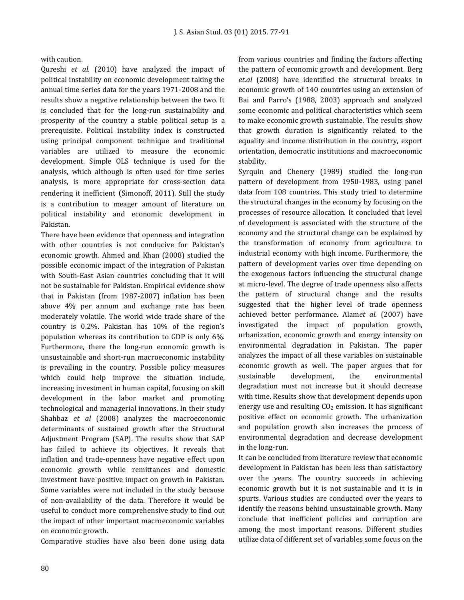with caution.

Qureshi *et al.* (2010) have analyzed the impact of political instability on economic development taking the annual time series data for the years 1971-2008 and the results show a negative relationship between the two. It is concluded that for the long-run sustainability and prosperity of the country a stable political setup is a prerequisite. Political instability index is constructed using principal component technique and traditional variables are utilized to measure the economic development. Simple OLS technique is used for the analysis, which although is often used for time series analysis, is more appropriate for cross-section data rendering it inefficient (Simonoff, 2011). Still the study is a contribution to meager amount of literature on political instability and economic development in Pakistan.

There have been evidence that openness and integration with other countries is not conducive for Pakistan's economic growth. Ahmed and Khan (2008) studied the possible economic impact of the integration of Pakistan with South-East Asian countries concluding that it will not be sustainable for Pakistan. Empirical evidence show that in Pakistan (from 1987-2007) inflation has been above 4% per annum and exchange rate has been moderately volatile. The world wide trade share of the country is 0.2%. Pakistan has 10% of the region's population whereas its contribution to GDP is only 6%. Furthermore, there the long-run economic growth is unsustainable and short-run macroeconomic instability is prevailing in the country. Possible policy measures which could help improve the situation include, increasing investment in human capital, focusing on skill development in the labor market and promoting technological and managerial innovations. In their study Shahbaz *et al* (2008) analyzes the macroeconomic determinants of sustained growth after the Structural Adjustment Program (SAP). The results show that SAP has failed to achieve its objectives. It reveals that inflation and trade-openness have negative effect upon economic growth while remittances and domestic investment have positive impact on growth in Pakistan. Some variables were not included in the study because of non-availability of the data. Therefore it would be useful to conduct more comprehensive study to find out the impact of other important macroeconomic variables on economic growth.

Comparative studies have also been done using data

from various countries and finding the factors affecting the pattern of economic growth and development. Berg *et.al* (2008) have identified the structural breaks in economic growth of 140 countries using an extension of Bai and Parro's (1988, 2003) approach and analyzed some economic and political characteristics which seem to make economic growth sustainable. The results show that growth duration is significantly related to the equality and income distribution in the country, export orientation, democratic institutions and macroeconomic stability.

Syrquin and Chenery (1989) studied the long-run pattern of development from 1950-1983, using panel data from 108 countries. This study tried to determine the structural changes in the economy by focusing on the processes of resource allocation. It concluded that level of development is associated with the structure of the economy and the structural change can be explained by the transformation of economy from agriculture to industrial economy with high income. Furthermore, the pattern of development varies over time depending on the exogenous factors influencing the structural change at micro-level. The degree of trade openness also affects the pattern of structural change and the results suggested that the higher level of trade openness achieved better performance. Alam*et al.* (2007) have investigated the impact of population growth, urbanization, economic growth and energy intensity on environmental degradation in Pakistan. The paper analyzes the impact of all these variables on sustainable economic growth as well. The paper argues that for sustainable development, the environmental degradation must not increase but it should decrease with time. Results show that development depends upon energy use and resulting  $CO<sub>2</sub>$  emission. It has significant positive effect on economic growth. The urbanization and population growth also increases the process of environmental degradation and decrease development in the long-run.

It can be concluded from literature review that economic development in Pakistan has been less than satisfactory over the years. The country succeeds in achieving economic growth but it is not sustainable and it is in spurts. Various studies are conducted over the years to identify the reasons behind unsustainable growth. Many conclude that inefficient policies and corruption are among the most important reasons. Different studies utilize data of different set of variables some focus on the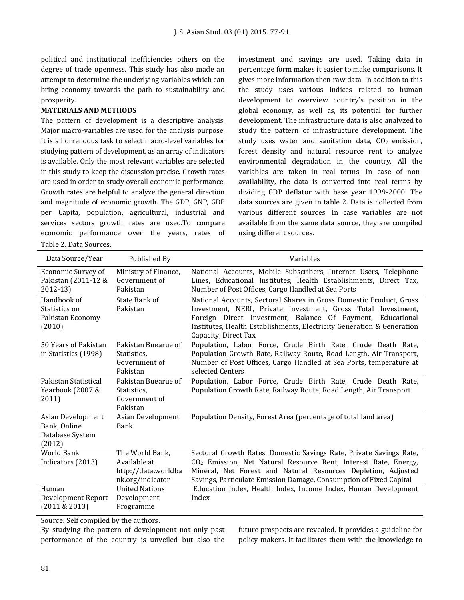political and institutional inefficiencies others on the degree of trade openness. This study has also made an attempt to determine the underlying variables which can bring economy towards the path to sustainability and prosperity.

#### **MATERIALS AND METHODS**

The pattern of development is a descriptive analysis. Major macro-variables are used for the analysis purpose. It is a horrendous task to select macro-level variables for studying pattern of development, as an array of indicators is available. Only the most relevant variables are selected in this study to keep the discussion precise. Growth rates are used in order to study overall economic performance. Growth rates are helpful to analyze the general direction and magnitude of economic growth. The GDP, GNP, GDP per Capita, population, agricultural, industrial and services sectors growth rates are used.To compare economic performance over the years, rates of

Table 2. Data Sources.

investment and savings are used. Taking data in percentage form makes it easier to make comparisons. It gives more information then raw data. In addition to this the study uses various indices related to human development to overview country's position in the global economy, as well as, its potential for further development. The infrastructure data is also analyzed to study the pattern of infrastructure development. The study uses water and sanitation data,  $CO<sub>2</sub>$  emission, forest density and natural resource rent to analyze environmental degradation in the country. All the variables are taken in real terms. In case of nonavailability, the data is converted into real terms by dividing GDP deflator with base year 1999-2000. The data sources are given in table 2. Data is collected from various different sources. In case variables are not available from the same data source, they are compiled using different sources.

| Data Source/Year                                               | Published By                                                               | Variables                                                                                                                                                                                                                                                                                            |
|----------------------------------------------------------------|----------------------------------------------------------------------------|------------------------------------------------------------------------------------------------------------------------------------------------------------------------------------------------------------------------------------------------------------------------------------------------------|
| Economic Survey of<br>Pakistan (2011-12 &<br>2012-13)          | Ministry of Finance,<br>Government of<br>Pakistan                          | National Accounts, Mobile Subscribers, Internet Users, Telephone<br>Lines, Educational Institutes, Health Establishments, Direct Tax,<br>Number of Post Offices, Cargo Handled at Sea Ports                                                                                                          |
| Handbook of<br>Statistics on<br>Pakistan Economy<br>(2010)     | State Bank of<br>Pakistan                                                  | National Accounts, Sectoral Shares in Gross Domestic Product, Gross<br>Investment, NERI, Private Investment, Gross Total Investment,<br>Foreign Direct Investment, Balance Of Payment, Educational<br>Institutes, Health Establishments, Electricity Generation & Generation<br>Capacity, Direct Tax |
| 50 Years of Pakistan<br>in Statistics (1998)                   | Pakistan Buearue of<br>Statistics.<br>Government of<br>Pakistan            | Population, Labor Force, Crude Birth Rate, Crude Death Rate,<br>Population Growth Rate, Railway Route, Road Length, Air Transport,<br>Number of Post Offices, Cargo Handled at Sea Ports, temperature at<br>selected Centers                                                                         |
| Pakistan Statistical<br>Yearbook (2007 &<br>2011)              | Pakistan Buearue of<br>Statistics.<br>Government of<br>Pakistan            | Population, Labor Force, Crude Birth Rate, Crude Death Rate,<br>Population Growth Rate, Railway Route, Road Length, Air Transport                                                                                                                                                                    |
| Asian Development<br>Bank, Online<br>Database System<br>(2012) | Asian Development<br>Bank                                                  | Population Density, Forest Area (percentage of total land area)                                                                                                                                                                                                                                      |
| <b>World Bank</b><br>Indicators (2013)                         | The World Bank,<br>Available at<br>http://data.worldba<br>nk.org/indicator | Sectoral Growth Rates, Domestic Savings Rate, Private Savings Rate,<br>CO <sub>2</sub> Emission, Net Natural Resource Rent, Interest Rate, Energy,<br>Mineral, Net Forest and Natural Resources Depletion, Adjusted<br>Savings, Particulate Emission Damage, Consumption of Fixed Capital            |
| Human<br>Development Report<br>(2011 & 2013)                   | <b>United Nations</b><br>Development<br>Programme                          | Education Index, Health Index, Income Index, Human Development<br>Index                                                                                                                                                                                                                              |

Source: Self compiled by the authors.

By studying the pattern of development not only past performance of the country is unveiled but also the

future prospects are revealed. It provides a guideline for policy makers. It facilitates them with the knowledge to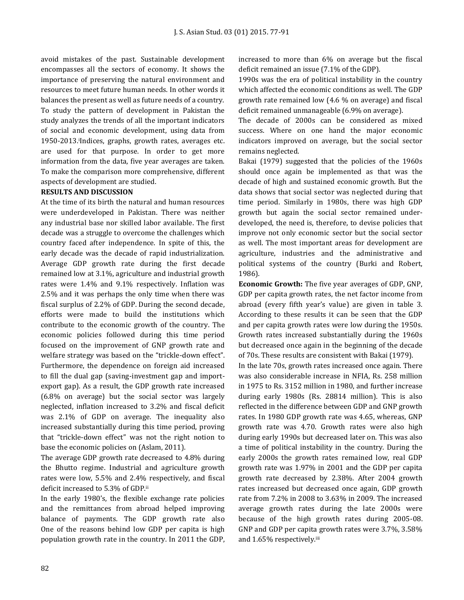avoid mistakes of the past. Sustainable development encompasses all the sectors of economy. It shows the importance of preserving the natural environment and resources to meet future human needs. In other words it balances the present as well as future needs of a country. To study the pattern of development in Pakistan the study analyzes the trends of all the important indicators of social and economic development, using data from 1950-2013.<sup>i</sup> Indices, graphs, growth rates, averages etc. are used for that purpose. In order to get more information from the data, five year averages are taken. To make the comparison more comprehensive, different aspects of development are studied.

# **RESULTS AND DISCUSSION**

At the time of its birth the natural and human resources were underdeveloped in Pakistan. There was neither any industrial base nor skilled labor available. The first decade was a struggle to overcome the challenges which country faced after independence. In spite of this, the early decade was the decade of rapid industrialization. Average GDP growth rate during the first decade remained low at 3.1%, agriculture and industrial growth rates were 1.4% and 9.1% respectively. Inflation was 2.5% and it was perhaps the only time when there was fiscal surplus of 2.2% of GDP. During the second decade, efforts were made to build the institutions which contribute to the economic growth of the country. The economic policies followed during this time period focused on the improvement of GNP growth rate and welfare strategy was based on the "trickle-down effect". Furthermore, the dependence on foreign aid increased to fill the dual gap (saving-investment gap and importexport gap). As a result, the GDP growth rate increased (6.8% on average) but the social sector was largely neglected, inflation increased to 3.2% and fiscal deficit was 2.1% of GDP on average. The inequality also increased substantially during this time period, proving that "trickle-down effect" was not the right notion to base the economic policies on (Aslam, 2011).

The average GDP growth rate decreased to 4.8% during the Bhutto regime. Industrial and agriculture growth rates were low, 5.5% and 2.4% respectively, and fiscal deficit increased to 5.3% of GDP.ii

In the early 1980's, the flexible exchange rate policies and the remittances from abroad helped improving balance of payments. The GDP growth rate also One of the reasons behind low GDP per capita is high population growth rate in the country. In 2011 the GDP, increased to more than 6% on average but the fiscal deficit remained an issue (7.1% of the GDP).

1990s was the era of political instability in the country which affected the economic conditions as well. The GDP growth rate remained low (4.6 % on average) and fiscal deficit remained unmanageable (6.9% on average).

The decade of 2000s can be considered as mixed success. Where on one hand the major economic indicators improved on average, but the social sector remains neglected.

Bakai (1979) suggested that the policies of the 1960s should once again be implemented as that was the decade of high and sustained economic growth. But the data shows that social sector was neglected during that time period. Similarly in 1980s, there was high GDP growth but again the social sector remained underdeveloped, the need is, therefore, to devise policies that improve not only economic sector but the social sector as well. The most important areas for development are agriculture, industries and the administrative and political systems of the country (Burki and Robert, 1986).

**Economic Growth:** The five year averages of GDP, GNP, GDP per capita growth rates, the net factor income from abroad (every fifth year's value) are given in table 3. According to these results it can be seen that the GDP and per capita growth rates were low during the 1950s. Growth rates increased substantially during the 1960s but decreased once again in the beginning of the decade of 70s. These results are consistent with Bakai (1979).

In the late 70s, growth rates increased once again. There was also considerable increase in NFIA, Rs. 258 million in 1975 to Rs. 3152 million in 1980, and further increase during early 1980s (Rs. 28814 million). This is also reflected in the difference between GDP and GNP growth rates. In 1980 GDP growth rate was 4.65, whereas, GNP growth rate was 4.70. Growth rates were also high during early 1990s but decreased later on. This was also a time of political instability in the country. During the early 2000s the growth rates remained low, real GDP growth rate was 1.97% in 2001 and the GDP per capita growth rate decreased by 2.38%. After 2004 growth rates increased but decreased once again, GDP growth rate from 7.2% in 2008 to 3.63% in 2009. The increased average growth rates during the late 2000s were because of the high growth rates during 2005-08. GNP and GDP per capita growth rates were 3.7%, 3.58% and 1.65% respectively.iii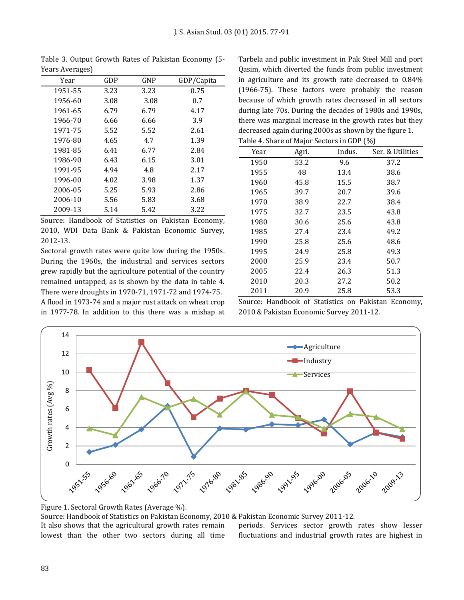| Year    | GDP  | GNP  | GDP/Capita |
|---------|------|------|------------|
| 1951-55 | 3.23 | 3.23 | 0.75       |
| 1956-60 | 3.08 | 3.08 | 0.7        |
| 1961-65 | 6.79 | 6.79 | 4.17       |
| 1966-70 | 6.66 | 6.66 | 3.9        |
| 1971-75 | 5.52 | 5.52 | 2.61       |
| 1976-80 | 4.65 | 4.7  | 1.39       |
| 1981-85 | 6.41 | 6.77 | 2.84       |
| 1986-90 | 6.43 | 6.15 | 3.01       |
| 1991-95 | 4.94 | 4.8  | 2.17       |
| 1996-00 | 4.02 | 3.98 | 1.37       |
| 2006-05 | 5.25 | 5.93 | 2.86       |
| 2006-10 | 5.56 | 5.83 | 3.68       |
| 2009-13 | 5.14 | 5.42 | 3.22       |

Table 3. Output Growth Rates of Pakistan Economy (5- Years Averages)

Source: Handbook of Statistics on Pakistan Economy, 2010, WDI Data Bank & Pakistan Economic Survey, 2012-13.

Sectoral growth rates were quite low during the 1950s. During the 1960s, the industrial and services sectors grew rapidly but the agriculture potential of the country remained untapped, as is shown by the data in table 4. There were droughts in 1970-71, 1971-72 and 1974-75.

A flood in 1973-74 and a major rust attack on wheat crop in 1977-78. In addition to this there was a mishap at Tarbela and public investment in Pak Steel Mill and port Qasim, which diverted the funds from public investment in agriculture and its growth rate decreased to 0.84% (1966-75). These factors were probably the reason because of which growth rates decreased in all sectors during late 70s. During the decades of 1980s and 1990s, there was marginal increase in the growth rates but they decreased again during 2000s as shown by the figure 1. Table 4. Share of Major Sectors in GDP (%)

| Table 4. Share of Major Sectors in GDF $(70)$ |       |        |                  |  |  |  |
|-----------------------------------------------|-------|--------|------------------|--|--|--|
| Year                                          | Agri. | Indus. | Ser. & Utilities |  |  |  |
| 1950                                          | 53.2  | 9.6    | 37.2             |  |  |  |
| 1955                                          | 48    | 13.4   | 38.6             |  |  |  |
| 1960                                          | 45.8  | 15.5   | 38.7             |  |  |  |
| 1965                                          | 39.7  | 20.7   | 39.6             |  |  |  |
| 1970                                          | 38.9  | 22.7   | 38.4             |  |  |  |
| 1975                                          | 32.7  | 23.5   | 43.8             |  |  |  |
| 1980                                          | 30.6  | 25.6   | 43.8             |  |  |  |
| 1985                                          | 27.4  | 23.4   | 49.2             |  |  |  |
| 1990                                          | 25.8  | 25.6   | 48.6             |  |  |  |
| 1995                                          | 24.9  | 25.8   | 49.3             |  |  |  |
| 2000                                          | 25.9  | 23.4   | 50.7             |  |  |  |
| 2005                                          | 22.4  | 26.3   | 51.3             |  |  |  |
| 2010                                          | 20.3  | 27.2   | 50.2             |  |  |  |
| 2011                                          | 20.9  | 25.8   | 53.3             |  |  |  |

Source: Handbook of Statistics on Pakistan Economy, 2010 & Pakistan Economic Survey 2011-12.



Figure 1. Sectoral Growth Rates (Average %).

Source: Handbook of Statistics on Pakistan Economy, 2010 & Pakistan Economic Survey 2011-12.

It also shows that the agricultural growth rates remain lowest than the other two sectors during all time periods. Services sector growth rates show lesser fluctuations and industrial growth rates are highest in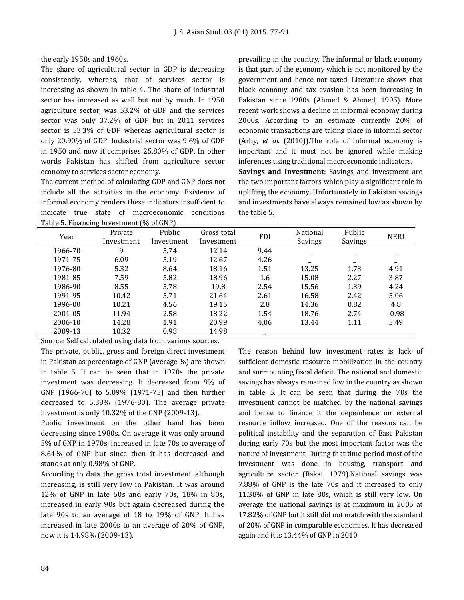the early 1950s and 1960s.

The share of agricultural sector in GDP is decreasing consistently, whereas, that of services sector is increasing as shown in table 4. The share of industrial sector has increased as well but not by much. In 1950 agriculture sector, was 53.2% of GDP and the services sector was only 37.2% of GDP but in 2011 services sector is 53.3% of GDP whereas agricultural sector is only 20.90% of GDP. Industrial sector was 9.6% of GDP in 1950 and now it comprises 25.80% of GDP. In other words Pakistan has shifted from agriculture sector economy to services sector economy.

The current method of calculating GDP and GNP does not include all the activities in the economy. Existence of informal economy renders these indicators insufficient to indicate true state of macroeconomic conditions Table 5. Financing Investment (% of GNP)

prevailing in the country. The informal or black economy is that part of the economy which is not monitored by the government and hence not taxed. Literature shows that black economy and tax evasion has been increasing in Pakistan since 1980s (Ahmed & Ahmed, 1995). More recent work shows a decline in informal economy during 2000s. According to an estimate currently 20% of economic transactions are taking place in informal sector (Arby, *et al.* (2010)).The role of informal economy is important and it must not be ignored while making inferences using traditional macroeconomic indicators.

**Savings and Investment**: Savings and investment are the two important factors which play a significant role in uplifting the economy. Unfortunately in Pakistan savings and investments have always remained low as shown by the table 5.

| rable 5.1 maneing investment (70 or and |                       |                      |                           |            |                     |                   |             |
|-----------------------------------------|-----------------------|----------------------|---------------------------|------------|---------------------|-------------------|-------------|
| Year                                    | Private<br>Investment | Public<br>Investment | Gross total<br>Investment | <b>FDI</b> | National<br>Savings | Public<br>Savings | <b>NERI</b> |
| 1966-70                                 | 9                     | 5.74                 | 12.14                     | 9.44       |                     |                   |             |
| 1971-75                                 | 6.09                  | 5.19                 | 12.67                     | 4.26       |                     |                   |             |
| 1976-80                                 | 5.32                  | 8.64                 | 18.16                     | 1.51       | 13.25               | 1.73              | 4.91        |
| 1981-85                                 | 7.59                  | 5.82                 | 18.96                     | 1.6        | 15.08               | 2.27              | 3.87        |
| 1986-90                                 | 8.55                  | 5.78                 | 19.8                      | 2.54       | 15.56               | 1.39              | 4.24        |
| 1991-95                                 | 10.42                 | 5.71                 | 21.64                     | 2.61       | 16.58               | 2.42              | 5.06        |
| 1996-00                                 | 10.21                 | 4.56                 | 19.15                     | 2.8        | 14.36               | 0.82              | 4.8         |
| 2001-05                                 | 11.94                 | 2.58                 | 18.22                     | 1.54       | 18.76               | 2.74              | $-0.98$     |
| 2006-10                                 | 14.28                 | 1.91                 | 20.99                     | 4.06       | 13.44               | 1.11              | 5.49        |
| 2009-13                                 | 10.32                 | 0.98                 | 14.98                     |            |                     |                   |             |

Source: Self calculated using data from various sources.

The private, public, gross and foreign direct investment in Pakistan as percentage of GNP (average %) are shown in table 5. It can be seen that in 1970s the private investment was decreasing. It decreased from 9% of GNP (1966-70) to 5.09% (1971-75) and then further decreased to 5.38% (1976-80). The average private investment is only 10.32% of the GNP (2009-13).

Public investment on the other hand has been decreasing since 1980s. On average it was only around 5% of GNP in 1970s, increased in late 70s to average of 8.64% of GNP but since then it has decreased and stands at only 0.98% of GNP.

According to data the gross total investment, although increasing, is still very low in Pakistan. It was around 12% of GNP in late 60s and early 70s, 18% in 80s, increased in early 90s but again decreased during the late 90s to an average of 18 to 19% of GNP. It has increased in late 2000s to an average of 20% of GNP, now it is 14.98% (2009-13).

The reason behind low investment rates is lack of sufficient domestic resource mobilization in the country and surmounting fiscal deficit. The national and domestic savings has always remained low in the country as shown in table 5. It can be seen that during the 70s the investment cannot be matched by the national savings and hence to finance it the dependence on external resource inflow increased. One of the reasons can be political instability and the separation of East Pakistan during early 70s but the most important factor was the nature of investment. During that time period most of the investment was done in housing, transport and agriculture sector (Bakai, 1979).National savings was 7.88% of GNP is the late 70s and it increased to only 11.38% of GNP in late 80s, which is still very low. On average the national savings is at maximum in 2005 at 17.82% of GNP but it still did not match with the standard of 20% of GNP in comparable economies. It has decreased again and it is 13.44% of GNP in 2010.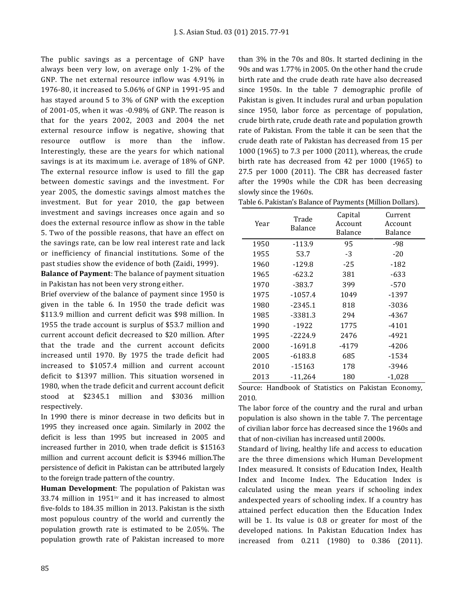The public savings as a percentage of GNP have always been very low, on average only 1-2% of the GNP. The net external resource inflow was 4.91% in 1976-80, it increased to 5.06% of GNP in 1991-95 and has stayed around 5 to 3% of GNP with the exception of 2001-05, when it was -0.98% of GNP. The reason is that for the years 2002, 2003 and 2004 the net external resource inflow is negative, showing that resource outflow is more than the inflow. Interestingly, these are the years for which national savings is at its maximum i.e. average of 18% of GNP. The external resource inflow is used to fill the gap between domestic savings and the investment. For year 2005, the domestic savings almost matches the investment. But for year 2010, the gap between investment and savings increases once again and so does the external resource inflow as show in the table 5. Two of the possible reasons, that have an effect on the savings rate, can be low real interest rate and lack or inefficiency of financial institutions. Some of the past studies show the evidence of both (Zaidi, 1999).

**Balance of Payment**: The balance of payment situation in Pakistan has not been very strong either.

Brief overview of the balance of payment since 1950 is given in the table 6. In 1950 the trade deficit was \$113.9 million and current deficit was \$98 million. In 1955 the trade account is surplus of \$53.7 million and current account deficit decreased to \$20 million. After that the trade and the current account deficits increased until 1970. By 1975 the trade deficit had increased to \$1057.4 million and current account deficit to \$1397 million. This situation worsened in 1980, when the trade deficit and current account deficit stood at \$2345.1 million and \$3036 million respectively.

In 1990 there is minor decrease in two deficits but in 1995 they increased once again. Similarly in 2002 the deficit is less than 1995 but increased in 2005 and increased further in 2010, when trade deficit is \$15163 million and current account deficit is \$3946 million.The persistence of deficit in Pakistan can be attributed largely to the foreign trade pattern of the country.

**Human Development**: The population of Pakistan was 33.74 million in  $1951$ <sup>iv</sup> and it has increased to almost five-folds to 184.35 million in 2013. Pakistan is the sixth most populous country of the world and currently the population growth rate is estimated to be 2.05%. The population growth rate of Pakistan increased to more than 3% in the 70s and 80s. It started declining in the 90s and was 1.77% in 2005. On the other hand the crude birth rate and the crude death rate have also decreased since 1950s. In the table 7 demographic profile of Pakistan is given. It includes rural and urban population since 1950, labor force as percentage of population, crude birth rate, crude death rate and population growth rate of Pakistan. From the table it can be seen that the crude death rate of Pakistan has decreased from 15 per 1000 (1965) to 7.3 per 1000 (2011), whereas, the crude birth rate has decreased from 42 per 1000 (1965) to 27.5 per 1000 (2011). The CBR has decreased faster after the 1990s while the CDR has been decreasing slowly since the 1960s.

| Table 6. Pakistan's Balance of Payments (Million Dollars). |                                  |            |
|------------------------------------------------------------|----------------------------------|------------|
|                                                            | $C_{\text{an}}$ : $\blacksquare$ | $\sqrt{2}$ |

| Year | Trade<br>Balance | Capital<br>Account<br>Balance | Current<br>Account<br>Balance |
|------|------------------|-------------------------------|-------------------------------|
| 1950 | $-113.9$         | 95                            | -98                           |
| 1955 | 53.7             | $-3$                          | $-20$                         |
| 1960 | $-129.8$         | $-25$                         | $-182$                        |
| 1965 | $-623.2$         | 381                           | $-633$                        |
| 1970 | $-383.7$         | 399                           | $-570$                        |
| 1975 | $-1057.4$        | 1049                          | $-1397$                       |
| 1980 | $-2345.1$        | 818                           | -3036                         |
| 1985 | $-3381.3$        | 294                           | -4367                         |
| 1990 | $-1922$          | 1775                          | $-4101$                       |
| 1995 | $-2224.9$        | 2476                          | -4921                         |
| 2000 | $-1691.8$        | $-4179$                       | -4206                         |
| 2005 | -6183.8          | 685                           | -1534                         |
| 2010 | $-15163$         | 178                           | -3946                         |
| 2013 | -11,264          | 180                           | $-1,028$                      |

Source: Handbook of Statistics on Pakistan Economy, 2010.

The labor force of the country and the rural and urban population is also shown in the table 7. The percentage of civilian labor force has decreased since the 1960s and that of non-civilian has increased until 2000s.

Standard of living, healthy life and access to education are the three dimensions which Human Development Index measured. It consists of Education Index, Health Index and Income Index. The Education Index is calculated using the mean years if schooling index andexpected years of schooling index. If a country has attained perfect education then the Education Index will be 1. Its value is 0.8 or greater for most of the developed nations. In Pakistan Education Index has increased from 0.211 (1980) to 0.386 (2011).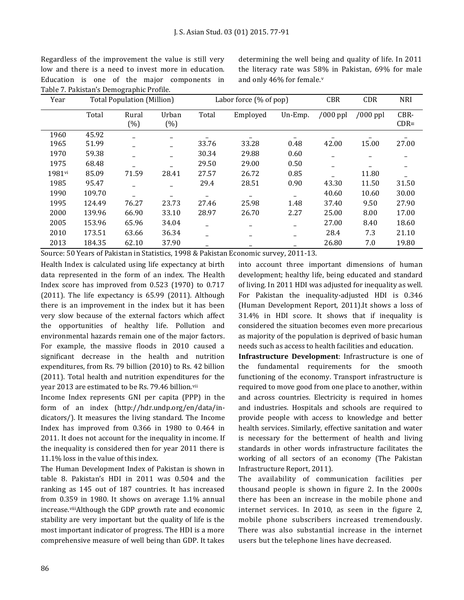Regardless of the improvement the value is still very low and there is a need to invest more in education. Education is one of the major components in Table 7. Pakistan's Demographic Profile.

determining the well being and quality of life. In 2011 the literacy rate was 58% in Pakistan, 69% for male and only 46% for female.<sup>v</sup>

| Year   |        | <b>Total Population (Million)</b> |               |       | Labor force $(\%$ of pop) |         |            | <b>CBR</b><br><b>CDR</b><br><b>NRI</b> |                 |  |
|--------|--------|-----------------------------------|---------------|-------|---------------------------|---------|------------|----------------------------------------|-----------------|--|
|        | Total  | Rural<br>(%)                      | Urban<br>(% ) | Total | Employed                  | Un-Emp. | $/000$ ppl | $/000$ ppl                             | CBR-<br>$CDR =$ |  |
| 1960   | 45.92  |                                   |               |       |                           |         |            |                                        |                 |  |
| 1965   | 51.99  |                                   |               | 33.76 | 33.28                     | 0.48    | 42.00      | 15.00                                  | 27.00           |  |
| 1970   | 59.38  |                                   |               | 30.34 | 29.88                     | 0.60    |            |                                        |                 |  |
| 1975   | 68.48  |                                   |               | 29.50 | 29.00                     | 0.50    |            |                                        |                 |  |
| 1981vi | 85.09  | 71.59                             | 28.41         | 27.57 | 26.72                     | 0.85    |            | 11.80                                  |                 |  |
| 1985   | 95.47  |                                   |               | 29.4  | 28.51                     | 0.90    | 43.30      | 11.50                                  | 31.50           |  |
| 1990   | 109.70 |                                   |               |       |                           |         | 40.60      | 10.60                                  | 30.00           |  |
| 1995   | 124.49 | 76.27                             | 23.73         | 27.46 | 25.98                     | 1.48    | 37.40      | 9.50                                   | 27.90           |  |
| 2000   | 139.96 | 66.90                             | 33.10         | 28.97 | 26.70                     | 2.27    | 25.00      | 8.00                                   | 17.00           |  |
| 2005   | 153.96 | 65.96                             | 34.04         |       |                           |         | 27.00      | 8.40                                   | 18.60           |  |
| 2010   | 173.51 | 63.66                             | 36.34         |       |                           |         | 28.4       | 7.3                                    | 21.10           |  |
| 2013   | 184.35 | 62.10                             | 37.90         |       |                           |         | 26.80      | 7.0                                    | 19.80           |  |

Source: 50 Years of Pakistan in Statistics, 1998 & Pakistan Economic survey, 2011-13.

Health Index is calculated using life expectancy at birth data represented in the form of an index. The Health Index score has improved from 0.523 (1970) to 0.717 (2011). The life expectancy is 65.99 (2011). Although there is an improvement in the index but it has been very slow because of the external factors which affect the opportunities of healthy life. Pollution and environmental hazards remain one of the major factors. For example, the massive floods in 2010 caused a significant decrease in the health and nutrition expenditures, from Rs. 79 billion (2010) to Rs. 42 billion (2011). Total health and nutrition expenditures for the year 2013 are estimated to be Rs. 79.46 billion.vii

Income Index represents GNI per capita (PPP) in the form of an index [\(http://hdr.undp.org/en/data/in](http://hdr.undp.org/en/data/indicators/)[dicators/\)](http://hdr.undp.org/en/data/indicators/). It measures the living standard. The Income Index has improved from 0.366 in 1980 to 0.464 in 2011. It does not account for the inequality in income. If the inequality is considered then for year 2011 there is 11.1% loss in the value of this index.

The Human Development Index of Pakistan is shown in table 8. Pakistan's HDI in 2011 was 0.504 and the ranking as 145 out of 187 countries. It has increased from 0.359 in 1980. It shows on average 1.1% annual increase.viiiAlthough the GDP growth rate and economic stability are very important but the quality of life is the most important indicator of progress. The HDI is a more comprehensive measure of well being than GDP. It takes into account three important dimensions of human development; healthy life, being educated and standard of living. In 2011 HDI was adjusted for inequality as well. For Pakistan the inequality-adjusted HDI is 0.346 (Human Development Report, 2011).It shows a loss of 31.4% in HDI score. It shows that if inequality is considered the situation becomes even more precarious as majority of the population is deprived of basic human needs such as access to health facilities and education.

**Infrastructure Development**: Infrastructure is one of the fundamental requirements for the smooth functioning of the economy. Transport infrastructure is required to move good from one place to another, within and across countries. Electricity is required in homes and industries. Hospitals and schools are required to provide people with access to knowledge and better health services. Similarly, effective sanitation and water is necessary for the betterment of health and living standards in other words infrastructure facilitates the working of all sectors of an economy (The Pakistan Infrastructure Report, 2011).

The availability of communication facilities per thousand people is shown in figure 2. In the 2000s there has been an increase in the mobile phone and internet services. In 2010, as seen in the figure 2, mobile phone subscribers increased tremendously. There was also substantial increase in the internet users but the telephone lines have decreased.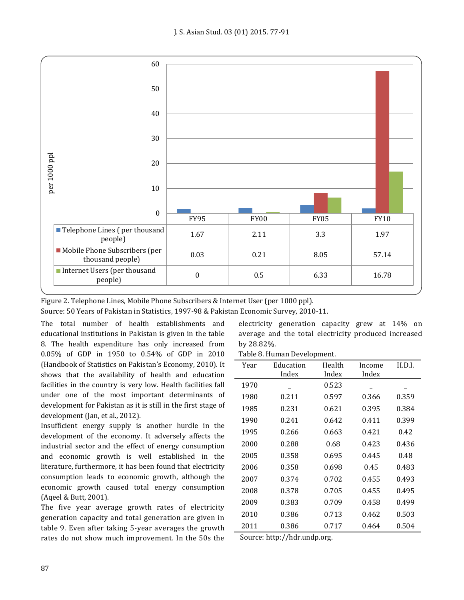

Figure 2. Telephone Lines, Mobile Phone Subscribers & Internet User (per 1000 ppl).

Source: 50 Years of Pakistan in Statistics, 1997-98 & Pakistan Economic Survey, 2010-11.

The total number of health establishments and educational institutions in Pakistan is given in the table 8. The health expenditure has only increased from 0.05% of GDP in 1950 to 0.54% of GDP in 2010 (Handbook of Statistics on Pakistan's Economy, 2010). It shows that the availability of health and education facilities in the country is very low. Health facilities fall under one of the most important determinants of development for Pakistan as it is still in the first stage of development (Jan, et al., 2012).

Insufficient energy supply is another hurdle in the development of the economy. It adversely affects the industrial sector and the effect of energy consumption and economic growth is well established in the literature, furthermore, it has been found that electricity consumption leads to economic growth, although the economic growth caused total energy consumption (Aqeel & Butt, 2001).

The five year average growth rates of electricity generation capacity and total generation are given in table 9. Even after taking 5-year averages the growth rates do not show much improvement. In the 50s the electricity generation capacity grew at 14% on average and the total electricity produced increased by 28.82%.

Table 8. Human Development.

| Year | Education | Health | Income | H.D.I. |
|------|-----------|--------|--------|--------|
|      | Index     | Index  | Index  |        |
| 1970 |           | 0.523  |        |        |
| 1980 | 0.211     | 0.597  | 0.366  | 0.359  |
| 1985 | 0.231     | 0.621  | 0.395  | 0.384  |
| 1990 | 0.241     | 0.642  | 0.411  | 0.399  |
| 1995 | 0.266     | 0.663  | 0.421  | 0.42   |
| 2000 | 0.288     | 0.68   | 0.423  | 0.436  |
| 2005 | 0.358     | 0.695  | 0.445  | 0.48   |
| 2006 | 0.358     | 0.698  | 0.45   | 0.483  |
| 2007 | 0.374     | 0.702  | 0.455  | 0.493  |
| 2008 | 0.378     | 0.705  | 0.455  | 0.495  |
| 2009 | 0.383     | 0.709  | 0.458  | 0.499  |
| 2010 | 0.386     | 0.713  | 0.462  | 0.503  |
| 2011 | 0.386     | 0.717  | 0.464  | 0.504  |

Source: http://hdr.undp.org.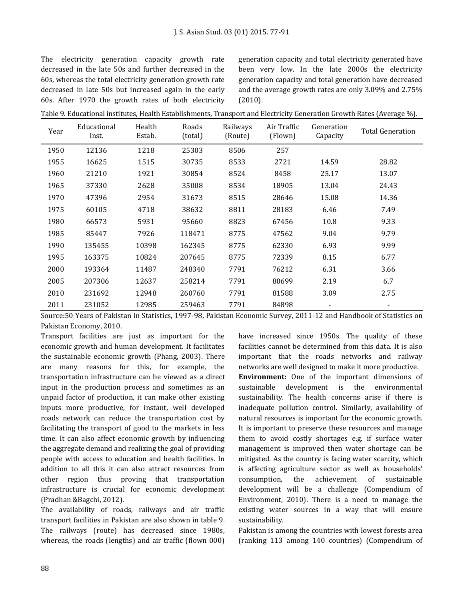The electricity generation capacity growth rate decreased in the late 50s and further decreased in the 60s, whereas the total electricity generation growth rate decreased in late 50s but increased again in the early 60s. After 1970 the growth rates of both electricity generation capacity and total electricity generated have been very low. In the late 2000s the electricity generation capacity and total generation have decreased and the average growth rates are only 3.09% and 2.75% (2010).

| Table 9. Educational institutes, Health Establishments, Transport and Electricity Generation Growth Rates (Average %). |  |
|------------------------------------------------------------------------------------------------------------------------|--|
|------------------------------------------------------------------------------------------------------------------------|--|

| Year | Educational<br>Inst. | Health<br>Estab. | Roads<br>(total) | Railways<br>(Route) | Air Traffic<br>(Flown) | Generation<br>Capacity | Total Generation |
|------|----------------------|------------------|------------------|---------------------|------------------------|------------------------|------------------|
| 1950 | 12136                | 1218             | 25303            | 8506                | 257                    |                        |                  |
| 1955 | 16625                | 1515             | 30735            | 8533                | 2721                   | 14.59                  | 28.82            |
| 1960 | 21210                | 1921             | 30854            | 8524                | 8458                   | 25.17                  | 13.07            |
| 1965 | 37330                | 2628             | 35008            | 8534                | 18905                  | 13.04                  | 24.43            |
| 1970 | 47396                | 2954             | 31673            | 8515                | 28646                  | 15.08                  | 14.36            |
| 1975 | 60105                | 4718             | 38632            | 8811                | 28183                  | 6.46                   | 7.49             |
| 1980 | 66573                | 5931             | 95660            | 8823                | 67456                  | 10.8                   | 9.33             |
| 1985 | 85447                | 7926             | 118471           | 8775                | 47562                  | 9.04                   | 9.79             |
| 1990 | 135455               | 10398            | 162345           | 8775                | 62330                  | 6.93                   | 9.99             |
| 1995 | 163375               | 10824            | 207645           | 8775                | 72339                  | 8.15                   | 6.77             |
| 2000 | 193364               | 11487            | 248340           | 7791                | 76212                  | 6.31                   | 3.66             |
| 2005 | 207306               | 12637            | 258214           | 7791                | 80699                  | 2.19                   | 6.7              |
| 2010 | 231692               | 12948            | 260760           | 7791                | 81588                  | 3.09                   | 2.75             |
| 2011 | 231052               | 12985            | 259463           | 7791                | 84898                  |                        |                  |

Source:50 Years of Pakistan in Statistics, 1997-98, Pakistan Economic Survey, 2011-12 and Handbook of Statistics on Pakistan Economy, 2010.

Transport facilities are just as important for the economic growth and human development. It facilitates the sustainable economic growth (Phang, 2003). There are many reasons for this, for example, the transportation infrastructure can be viewed as a direct input in the production process and sometimes as an unpaid factor of production, it can make other existing inputs more productive, for instant, well developed roads network can reduce the transportation cost by facilitating the transport of good to the markets in less time. It can also affect economic growth by influencing the aggregate demand and realizing the goal of providing people with access to education and health facilities. In addition to all this it can also attract resources from other region thus proving that transportation infrastructure is crucial for economic development (Pradhan &Bagchi, 2012).

The availability of roads, railways and air traffic transport facilities in Pakistan are also shown in table 9. The railways (route) has decreased since 1980s, whereas, the roads (lengths) and air traffic (flown 000) have increased since 1950s. The quality of these facilities cannot be determined from this data. It is also important that the roads networks and railway networks are well designed to make it more productive. **Environment:** One of the important dimensions of sustainable development is the environmental sustainability. The health concerns arise if there is inadequate pollution control. Similarly, availability of natural resources is important for the economic growth. It is important to preserve these resources and manage them to avoid costly shortages e.g. if surface water management is improved then water shortage can be mitigated. As the country is facing water scarcity, which is affecting agriculture sector as well as households' consumption, the achievement of sustainable development will be a challenge (Compendium of Environment, 2010). There is a need to manage the existing water sources in a way that will ensure sustainability.

Pakistan is among the countries with lowest forests area (ranking 113 among 140 countries) (Compendium of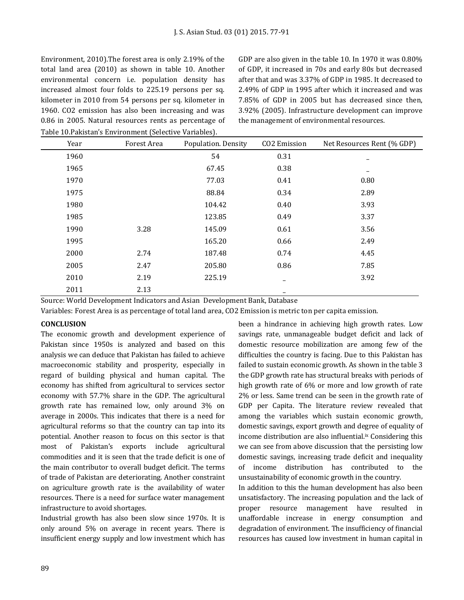Environment, 2010).The forest area is only 2.19% of the total land area (2010) as shown in table 10. Another environmental concern i.e. population density has increased almost four folds to 225.19 persons per sq. kilometer in 2010 from 54 persons per sq. kilometer in 1960. CO2 emission has also been increasing and was 0.86 in 2005. Natural resources rents as percentage of Table 10.Pakistan's Environment (Selective Variables).

GDP are also given in the table 10. In 1970 it was 0.80% of GDP, it increased in 70s and early 80s but decreased after that and was 3.37% of GDP in 1985. It decreased to 2.49% of GDP in 1995 after which it increased and was 7.85% of GDP in 2005 but has decreased since then, 3.92% (2005). Infrastructure development can improve the management of environmental resources.

| Year | Forest Area | Population. Density | CO2 Emission | Net Resources Rent (% GDP) |
|------|-------------|---------------------|--------------|----------------------------|
| 1960 |             | 54                  | 0.31         |                            |
| 1965 |             | 67.45               | 0.38         |                            |
| 1970 |             | 77.03               | 0.41         | 0.80                       |
| 1975 |             | 88.84               | 0.34         | 2.89                       |
| 1980 |             | 104.42              | 0.40         | 3.93                       |
| 1985 |             | 123.85              | 0.49         | 3.37                       |
| 1990 | 3.28        | 145.09              | 0.61         | 3.56                       |
| 1995 |             | 165.20              | 0.66         | 2.49                       |
| 2000 | 2.74        | 187.48              | 0.74         | 4.45                       |
| 2005 | 2.47        | 205.80              | 0.86         | 7.85                       |
| 2010 | 2.19        | 225.19              |              | 3.92                       |
| 2011 | 2.13        |                     |              |                            |

Source: World Development Indicators and Asian Development Bank, Database

Variables: Forest Area is as percentage of total land area, CO2 Emission is metric ton per capita emission.

## **CONCLUSION**

The economic growth and development experience of Pakistan since 1950s is analyzed and based on this analysis we can deduce that Pakistan has failed to achieve macroeconomic stability and prosperity, especially in regard of building physical and human capital. The economy has shifted from agricultural to services sector economy with 57.7% share in the GDP. The agricultural growth rate has remained low, only around 3% on average in 2000s. This indicates that there is a need for agricultural reforms so that the country can tap into its potential. Another reason to focus on this sector is that most of Pakistan's exports include agricultural commodities and it is seen that the trade deficit is one of the main contributor to overall budget deficit. The terms of trade of Pakistan are deteriorating. Another constraint on agriculture growth rate is the availability of water resources. There is a need for surface water management infrastructure to avoid shortages.

Industrial growth has also been slow since 1970s. It is only around 5% on average in recent years. There is insufficient energy supply and low investment which has been a hindrance in achieving high growth rates. Low savings rate, unmanageable budget deficit and lack of domestic resource mobilization are among few of the difficulties the country is facing. Due to this Pakistan has failed to sustain economic growth. As shown in the table 3 the GDP growth rate has structural breaks with periods of high growth rate of 6% or more and low growth of rate 2% or less. Same trend can be seen in the growth rate of GDP per Capita. The literature review revealed that among the variables which sustain economic growth, domestic savings, export growth and degree of equality of income distribution are also influential.<sup>ix</sup> Considering this we can see from above discussion that the persisting low domestic savings, increasing trade deficit and inequality of income distribution has contributed to the unsustainability of economic growth in the country.

In addition to this the human development has also been unsatisfactory. The increasing population and the lack of proper resource management have resulted in unaffordable increase in energy consumption and degradation of environment. The insufficiency of financial resources has caused low investment in human capital in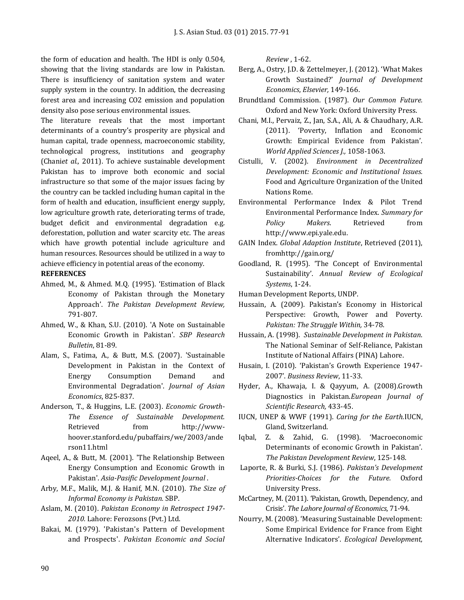the form of education and health. The HDI is only 0.504, showing that the living standards are low in Pakistan. There is insufficiency of sanitation system and water supply system in the country. In addition, the decreasing forest area and increasing CO2 emission and population density also pose serious environmental issues.

The literature reveals that the most important determinants of a country's prosperity are physical and human capital, trade openness, macroeconomic stability, technological progress, institutions and geography (Chani*et al.,* 2011). To achieve sustainable development Pakistan has to improve both economic and social infrastructure so that some of the major issues facing by the country can be tackled including human capital in the form of health and education, insufficient energy supply, low agriculture growth rate, deteriorating terms of trade, budget deficit and environmental degradation e.g. deforestation, pollution and water scarcity etc. The areas which have growth potential include agriculture and human resources. Resources should be utilized in a way to achieve efficiency in potential areas of the economy.

#### **REFERENCES**

- Ahmed, M., & Ahmed. M.Q. (1995). 'Estimation of Black Economy of Pakistan through the Monetary Approach'. *The Pakistan Development Review,*  791-807.
- Ahmed, W., & Khan, S.U. (2010). 'A Note on Sustainable Economic Growth in Pakistan'. *SBP Research Bulletin*, 81-89.
- Alam, S., Fatima, A., & Butt, M.S. (2007). 'Sustainable Development in Pakistan in the Context of Energy Consumption Demand and Environmental Degradation'. *Journal of Asian Economics*, 825-837.
- Anderson, T., & Huggins, L.E. (2003). *Economic Growth-The Essence of Sustainable Development.* Retrieved from http://wwwhoover.stanford.edu/pubaffairs/we/2003/ande rson11.html
- Aqeel, A., & Butt, M. (2001). 'The Relationship Between Energy Consumption and Economic Growth in Pakistan'. *Asia-Pasific Development Journal* .
- Arby, M.F., Malik, M.J. & Hanif, M.N. (2010). *The Size of Informal Economy is Pakistan.* SBP.
- Aslam, M. (2010). *Pakistan Economy in Retrospect 1947- 2010.* Lahore: Ferozsons (Pvt.) Ltd.
- Bakai, M. (1979). 'Pakistan's Pattern of Development and Prospects'. *Pakistan Economic and Social*

*Review* , 1-62.

- Berg, A., Ostry, J.D. & Zettelmeyer, J. (2012). 'What Makes Growth Sustained?' *Journal of Development Economics*, *Elsevier,* 149-166.
- Brundtland Commission. (1987). *Our Common Future.* Oxford and New York: Oxford University Press.
- Chani, M.I., Pervaiz, Z., Jan, S.A., Ali, A. & Chaudhary, A.R. (2011). 'Poverty, Inflation and Economic Growth: Empirical Evidence from Pakistan'. *World Applied Sciences J.,* 1058-1063.
- Cistulli, V. (2002). *Environment in Decentralized Development: Economic and Institutional Issues.* Food and Agriculture Organization of the United Nations Rome.
- Environmental Performance Index & Pilot Trend Environmental Performance Index. *Summary for Policy Makers*. Retrieved from [http://www.epi.yale.edu.](http://www.epi.yale.edu/)
- GAIN Index. *Global Adaption Institute*, Retrieved (2011), fro[mhttp://gain.org/](http://gain.org/)
- Goodland, R. (1995). 'The Concept of Environmental Sustainability'. *Annual Review of Ecological Systems*, 1-24.

Human Development Reports, UNDP.

- Hussain, A. (2009). Pakistan's Economy in Historical Perspective: Growth, Power and Poverty. *Pakistan: The Struggle Within,* 34-78.
- Hussain, A. (1998). *Sustainable Development in Pakistan*. The National Seminar of Self-Reliance, Pakistan Institute of National Affairs (PINA) Lahore.
- Husain, I. (2010). 'Pakistan's Growth Experience 1947- 2007'. *Business Review*, 11-33.
- Hyder, A., Khawaja, I. & Qayyum, A. (2008).Growth Diagnostics in Pakistan.*European Journal of Scientific Research,* 433-45.
- IUCN, UNEP & WWF (1991). *Caring for the Earth.*IUCN, Gland, Switzerland.
- Iqbal, Z. & Zahid, G. (1998). 'Macroeconomic Determinants of economic Growth in Pakistan'. *The Pakistan Development Review*, 125-148.
- Laporte, R. & Burki, S.J. (1986). *Pakistan's Development Priorities-Choices for the Future.* Oxford University Press.
- McCartney, M. (2011). 'Pakistan, Growth, Dependency, and Crisis'. *The Lahore Journal of Economics*, 71-94.
- Nourry, M. (2008). 'Measuring Sustainable Development: Some Empirical Evidence for France from Eight Alternative Indicators'. *Ecological Development,*